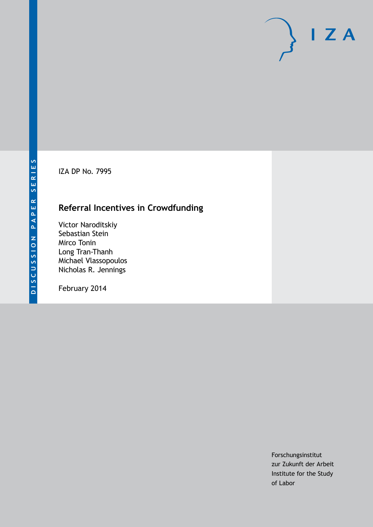IZA DP No. 7995

## **Referral Incentives in Crowdfunding**

Victor Naroditskiy Sebastian Stein Mirco Tonin Long Tran-Thanh Michael Vlassopoulos Nicholas R. Jennings

February 2014

Forschungsinstitut zur Zukunft der Arbeit Institute for the Study of Labor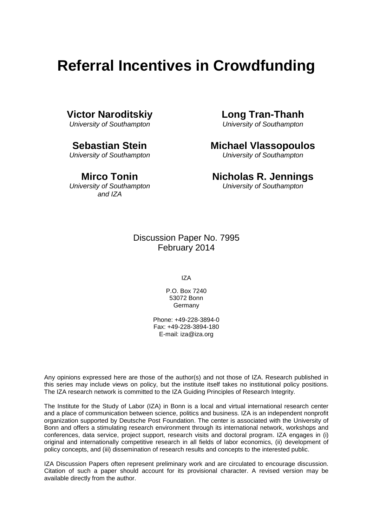# **Referral Incentives in Crowdfunding**

## **Victor Naroditskiy**

*University of Southampton*

**Sebastian Stein**

*University of Southampton*

**Mirco Tonin**

## *University of Southampton and IZA*

**Long Tran-Thanh**

*University of Southampton*

## **Michael Vlassopoulos**

*University of Southampton*

## **Nicholas R. Jennings**

*University of Southampton*

Discussion Paper No. 7995 February 2014

IZA

P.O. Box 7240 53072 Bonn Germany

Phone: +49-228-3894-0 Fax: +49-228-3894-180 E-mail: [iza@iza.org](mailto:iza@iza.org)

Any opinions expressed here are those of the author(s) and not those of IZA. Research published in this series may include views on policy, but the institute itself takes no institutional policy positions. The IZA research network is committed to the IZA Guiding Principles of Research Integrity.

The Institute for the Study of Labor (IZA) in Bonn is a local and virtual international research center and a place of communication between science, politics and business. IZA is an independent nonprofit organization supported by Deutsche Post Foundation. The center is associated with the University of Bonn and offers a stimulating research environment through its international network, workshops and conferences, data service, project support, research visits and doctoral program. IZA engages in (i) original and internationally competitive research in all fields of labor economics, (ii) development of policy concepts, and (iii) dissemination of research results and concepts to the interested public.

IZA Discussion Papers often represent preliminary work and are circulated to encourage discussion. Citation of such a paper should account for its provisional character. A revised version may be available directly from the author.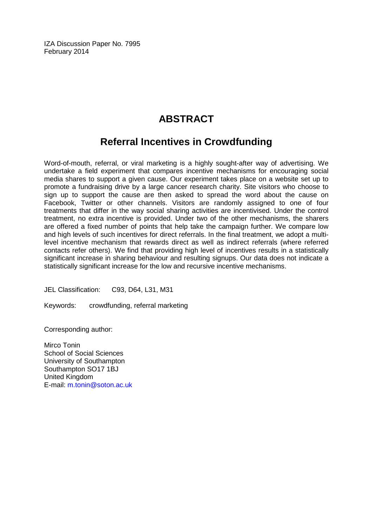IZA Discussion Paper No. 7995 February 2014

## **ABSTRACT**

## **Referral Incentives in Crowdfunding**

Word-of-mouth, referral, or viral marketing is a highly sought-after way of advertising. We undertake a field experiment that compares incentive mechanisms for encouraging social media shares to support a given cause. Our experiment takes place on a website set up to promote a fundraising drive by a large cancer research charity. Site visitors who choose to sign up to support the cause are then asked to spread the word about the cause on Facebook, Twitter or other channels. Visitors are randomly assigned to one of four treatments that differ in the way social sharing activities are incentivised. Under the control treatment, no extra incentive is provided. Under two of the other mechanisms, the sharers are offered a fixed number of points that help take the campaign further. We compare low and high levels of such incentives for direct referrals. In the final treatment, we adopt a multilevel incentive mechanism that rewards direct as well as indirect referrals (where referred contacts refer others). We find that providing high level of incentives results in a statistically significant increase in sharing behaviour and resulting signups. Our data does not indicate a statistically significant increase for the low and recursive incentive mechanisms.

JEL Classification: C93, D64, L31, M31

Keywords: crowdfunding, referral marketing

Corresponding author:

Mirco Tonin School of Social Sciences University of Southampton Southampton SO17 1BJ United Kingdom E-mail: [m.tonin@soton.ac.uk](mailto:m.tonin@soton.ac.uk)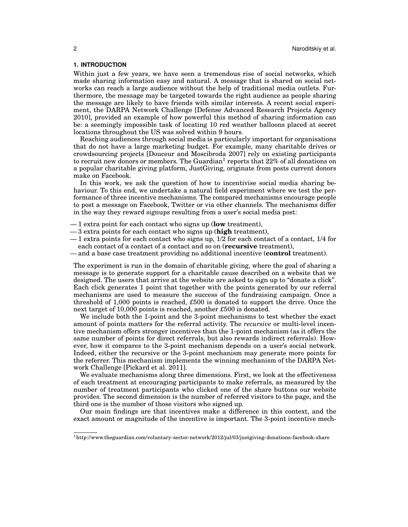## **1. INTRODUCTION**

Within just a few years, we have seen a tremendous rise of social networks, which made sharing information easy and natural. A message that is shared on social networks can reach a large audience without the help of traditional media outlets. Furthermore, the message may be targeted towards the right audience as people sharing the message are likely to have friends with similar interests. A recent social experiment, the DARPA Network Challenge [Defense Advanced Research Projects Agency 2010], provided an example of how powerful this method of sharing information can be: a seemingly impossible task of locating 10 red weather balloons placed at secret locations throughout the US was solved within 9 hours.

Reaching audiences through social media is particularly important for organisations that do not have a large marketing budget. For example, many charitable drives or crowdsourcing projects [Douceur and Moscibroda 2007] rely on existing participants to recruit new donors or members. The Guardian<sup>1</sup> reports that 22% of all donations on a popular charitable giving platform, JustGiving, originate from posts current donors make on Facebook.

In this work, we ask the question of how to incentivise social media sharing behaviour. To this end, we undertake a natural field experiment where we test the performance of three incentive mechanisms. The compared mechanisms encourage people to post a message on Facebook, Twitter or via other channels. The mechanisms differ in the way they reward signups resulting from a user's social media post:

- 1 extra point for each contact who signs up (**low** treatment),
- 3 extra points for each contact who signs up (**high** treatment),
- $-1$  extra points for each contact who signs up,  $1/2$  for each contact of a contact,  $1/4$  for each contact of a contact of a contact and so on (**recursive** treatment),
- and a base case treatment providing no additional incentive (**control** treatment).

The experiment is run in the domain of charitable giving, where the goal of sharing a message is to generate support for a charitable cause described on a website that we designed. The users that arrive at the website are asked to sign up to "donate a click". Each click generates 1 point that together with the points generated by our referral mechanisms are used to measure the success of the fundraising campaign. Once a threshold of 1,000 points is reached, *£*500 is donated to support the drive. Once the next target of 10,000 points is reached, another *£*500 is donated.

We include both the 1-point and the 3-point mechanisms to test whether the exact amount of points matters for the referral activity. The *recursive* or multi-level incentive mechanism offers stronger incentives than the 1-point mechanism (as it offers the same number of points for direct referrals, but also rewards indirect referrals). However, how it compares to the 3-point mechanism depends on a user's social network. Indeed, either the recursive or the 3-point mechanism may generate more points for the referrer. This mechanism implements the winning mechanism of the DARPA Network Challenge [Pickard et al. 2011].

We evaluate mechanisms along three dimensions. First, we look at the effectiveness of each treatment at encouraging participants to make referrals, as measured by the number of treatment participants who clicked one of the share buttons our website provides. The second dimension is the number of referred visitors to the page, and the third one is the number of those visitors who signed up.

Our main findings are that incentives make a difference in this context, and the exact amount or magnitude of the incentive is important. The 3-point incentive mech-

 $1$ http://www.theguardian.com/voluntary-sector-network/2012/jul/03/justgiving-donations-facebook-share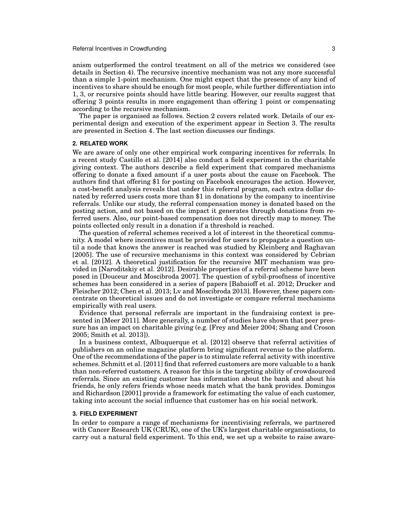anism outperformed the control treatment on all of the metrics we considered (see details in Section 4). The recursive incentive mechanism was not any more successful than a simple 1-point mechanism. One might expect that the presence of any kind of incentives to share should be enough for most people, while further differentiation into 1, 3, or recursive points should have little bearing. However, our results suggest that offering 3 points results in more engagement than offering 1 point or compensating according to the recursive mechanism.

The paper is organised as follows. Section 2 covers related work. Details of our experimental design and execution of the experiment appear in Section 3. The results are presented in Section 4. The last section discusses our findings.

### **2. RELATED WORK**

We are aware of only one other empirical work comparing incentives for referrals. In a recent study Castillo et al. [2014] also conduct a field experiment in the charitable giving context. The authors describe a field experiment that compared mechanisms offering to donate a fixed amount if a user posts about the cause on Facebook. The authors find that offering \$1 for posting on Facebook encourages the action. However, a cost-benefit analysis reveals that under this referral program, each extra dollar donated by referred users costs more than \$1 in donations by the company to incentivise referrals. Unlike our study, the referral compensation money is donated based on the posting action, and not based on the impact it generates through donations from referred users. Also, our point-based compensation does not directly map to money. The points collected only result in a donation if a threshold is reached.

The question of referral schemes received a lot of interest in the theoretical community. A model where incentives must be provided for users to propagate a question until a node that knows the answer is reached was studied by Kleinberg and Raghavan [2005]. The use of recursive mechanisms in this context was considered by Cebrian et al. [2012]. A theoretical justification for the recursive MIT mechanism was provided in [Naroditskiy et al. 2012]. Desirable properties of a referral scheme have been posed in [Douceur and Moscibroda 2007]. The question of sybil-proofness of incentive schemes has been considered in a series of papers [Babaioff et al. 2012; Drucker and Fleischer 2012; Chen et al. 2013; Lv and Moscibroda 2013]. However, these papers concentrate on theoretical issues and do not investigate or compare referral mechanisms empirically with real users.

Evidence that personal referrals are important in the fundraising context is presented in [Meer 2011]. More generally, a number of studies have shown that peer pressure has an impact on charitable giving (e.g. [Frey and Meier 2004; Shang and Croson 2005; Smith et al. 2013]).

In a business context, Albuquerque et al. [2012] observe that referral activities of publishers on an online magazine platform bring significant revenue to the platform. One of the recommendations of the paper is to stimulate referral activity with incentive schemes. Schmitt et al. [2011] find that referred customers are more valuable to a bank than non-referred customers. A reason for this is the targeting ability of crowdsourced referrals. Since an existing customer has information about the bank and about his friends, he only refers friends whose needs match what the bank provides. Domingos and Richardson [2001] provide a framework for estimating the value of each customer, taking into account the social influence that customer has on his social network.

## **3. FIELD EXPERIMENT**

In order to compare a range of mechanisms for incentivising referrals, we partnered with Cancer Research UK (CRUK), one of the UK's largest charitable organisations, to carry out a natural field experiment. To this end, we set up a website to raise aware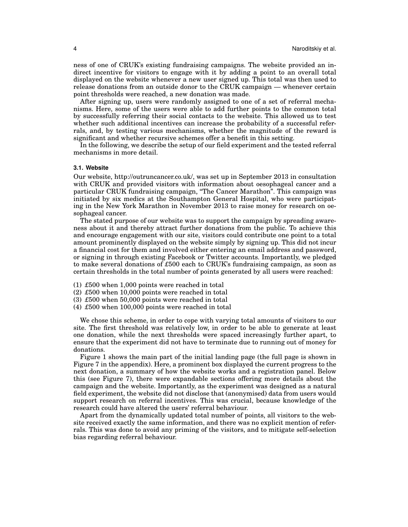ness of one of CRUK's existing fundraising campaigns. The website provided an indirect incentive for visitors to engage with it by adding a point to an overall total displayed on the website whenever a new user signed up. This total was then used to release donations from an outside donor to the CRUK campaign — whenever certain point thresholds were reached, a new donation was made.

After signing up, users were randomly assigned to one of a set of referral mechanisms. Here, some of the users were able to add further points to the common total by successfully referring their social contacts to the website. This allowed us to test whether such additional incentives can increase the probability of a successful referrals, and, by testing various mechanisms, whether the magnitude of the reward is significant and whether recursive schemes offer a benefit in this setting.

In the following, we describe the setup of our field experiment and the tested referral mechanisms in more detail.

### **3.1. Website**

Our website, http://outruncancer.co.uk/, was set up in September 2013 in consultation with CRUK and provided visitors with information about oesophageal cancer and a particular CRUK fundraising campaign, "The Cancer Marathon". This campaign was initiated by six medics at the Southampton General Hospital, who were participating in the New York Marathon in November 2013 to raise money for research on oesophageal cancer.

The stated purpose of our website was to support the campaign by spreading awareness about it and thereby attract further donations from the public. To achieve this and encourage engagement with our site, visitors could contribute one point to a total amount prominently displayed on the website simply by signing up. This did not incur a financial cost for them and involved either entering an email address and password, or signing in through existing Facebook or Twitter accounts. Importantly, we pledged to make several donations of *£*500 each to CRUK's fundraising campaign, as soon as certain thresholds in the total number of points generated by all users were reached:

- (1) *£*500 when 1,000 points were reached in total
- (2) *£*500 when 10,000 points were reached in total
- (3) *£*500 when 50,000 points were reached in total
- (4) *£*500 when 100,000 points were reached in total

We chose this scheme, in order to cope with varying total amounts of visitors to our site. The first threshold was relatively low, in order to be able to generate at least one donation, while the next thresholds were spaced increasingly further apart, to ensure that the experiment did not have to terminate due to running out of money for donations.

Figure 1 shows the main part of the initial landing page (the full page is shown in Figure 7 in the appendix). Here, a prominent box displayed the current progress to the next donation, a summary of how the website works and a registration panel. Below this (see Figure 7), there were expandable sections offering more details about the campaign and the website. Importantly, as the experiment was designed as a natural field experiment, the website did not disclose that (anonymised) data from users would support research on referral incentives. This was crucial, because knowledge of the research could have altered the users' referral behaviour.

Apart from the dynamically updated total number of points, all visitors to the website received exactly the same information, and there was no explicit mention of referrals. This was done to avoid any priming of the visitors, and to mitigate self-selection bias regarding referral behaviour.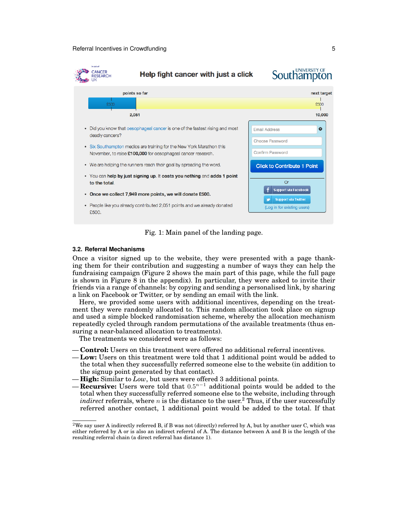

Fig. 1: Main panel of the landing page.

### **3.2. Referral Mechanisms**

Once a visitor signed up to the website, they were presented with a page thanking them for their contribution and suggesting a number of ways they can help the fundraising campaign (Figure 2 shows the main part of this page, while the full page is shown in Figure 8 in the appendix). In particular, they were asked to invite their friends via a range of channels: by copying and sending a personalised link, by sharing a link on Facebook or Twitter, or by sending an email with the link.

Here, we provided some users with additional incentives, depending on the treatment they were randomly allocated to. This random allocation took place on signup and used a simple blocked randomisation scheme, whereby the allocation mechanism repeatedly cycled through random permutations of the available treatments (thus ensuring a near-balanced allocation to treatments).

The treatments we considered were as follows:

— **Control:** Users on this treatment were offered no additional referral incentives.

- **Low:** Users on this treatment were told that 1 additional point would be added to the total when they successfully referred someone else to the website (in addition to the signup point generated by that contact).
- **High:** Similar to *Low*, but users were offered 3 additional points.
- **Recursive:** Users were told that 0.5 <sup>n</sup>−<sup>1</sup> additional points would be added to the total when they successfully referred someone else to the website, including through *indirect* referrals, where  $n$  is the distance to the user.<sup>2</sup> Thus, if the user successfully referred another contact, 1 additional point would be added to the total. If that

<sup>&</sup>lt;sup>2</sup>We say user A indirectly referred B, if B was not (directly) referred by A, but by another user C, which was either referred by A or is also an indirect referral of A. The distance between A and B is the length of the resulting referral chain (a direct referral has distance 1).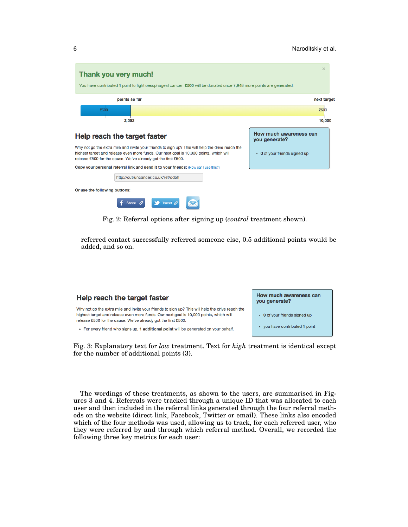| $\times$<br>You have contributed 1 point to fight oesophageal cancer. £500 will be donated once 7,948 more points are generated. |
|----------------------------------------------------------------------------------------------------------------------------------|
| next target                                                                                                                      |
| £500                                                                                                                             |
| 10,000                                                                                                                           |
| How much awareness can<br>you generate?                                                                                          |
| • 0 of your friends signed up                                                                                                    |
|                                                                                                                                  |
|                                                                                                                                  |
|                                                                                                                                  |
|                                                                                                                                  |

Fig. 2: Referral options after signing up (*control* treatment shown).

referred contact successfully referred someone else, 0.5 additional points would be added, and so on.

#### How much awareness can Help reach the target faster you generate? Why not go the extra mile and invite your friends to sign up? This will help the drive reach the highest target and release even more funds. Our next goal is 10,000 points, which will • 0 of your friends signed up release £500 for the cause. We've already got the first £500. • you have contributed 1 point • For every friend who signs up, 1 additional point will be generated on your behalf.

Fig. 3: Explanatory text for *low* treatment. Text for *high* treatment is identical except for the number of additional points (3).

The wordings of these treatments, as shown to the users, are summarised in Figures 3 and 4. Referrals were tracked through a unique ID that was allocated to each user and then included in the referral links generated through the four referral methods on the website (direct link, Facebook, Twitter or email). These links also encoded which of the four methods was used, allowing us to track, for each referred user, who they were referred by and through which referral method. Overall, we recorded the following three key metrics for each user: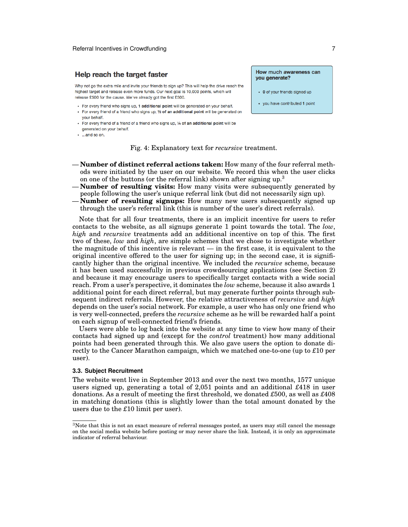## Help reach the target faster

Why not go the extra mile and invite your friends to sign up? This will help the drive reach the highest target and release even more funds. Our next goal is 10,000 points, which will release £500 for the cause. We've already got the first £500.

- For every friend who signs up, 1 additional point will be generated on your behalf.
- For every friend of a friend who signs up, 1/2 of an additional point will be generated on your behalf.
- For every friend of a friend of a friend who signs up, 1/4 of an additional point will be generated on your behalf.
- . ...and so on.

Fig. 4: Explanatory text for *recursive* treatment.

- **Number of distinct referral actions taken:** How many of the four referral methods were initiated by the user on our website. We record this when the user clicks on one of the buttons (or the referral link) shown after signing up.<sup>3</sup>
- **Number of resulting visits:** How many visits were subsequently generated by people following the user's unique referral link (but did not necessarily sign up).
- **Number of resulting signups:** How many new users subsequently signed up through the user's referral link (this is number of the user's direct referrals).

Note that for all four treatments, there is an implicit incentive for users to refer contacts to the website, as all signups generate 1 point towards the total. The *low*, *high* and *recursive* treatments add an additional incentive on top of this. The first two of these, *low* and *high*, are simple schemes that we chose to investigate whether the magnitude of this incentive is relevant — in the first case, it is equivalent to the original incentive offered to the user for signing up; in the second case, it is significantly higher than the original incentive. We included the *recursive* scheme, because it has been used successfully in previous crowdsourcing applications (see Section 2) and because it may encourage users to specifically target contacts with a wide social reach. From a user's perspective, it dominates the *low* scheme, because it also awards 1 additional point for each direct referral, but may generate further points through subsequent indirect referrals. However, the relative attractiveness of *recursive* and *high* depends on the user's social network. For example, a user who has only one friend who is very well-connected, prefers the *recursive* scheme as he will be rewarded half a point on each signup of well-connected friend's friends.

Users were able to log back into the website at any time to view how many of their contacts had signed up and (except for the *control* treatment) how many additional points had been generated through this. We also gave users the option to donate directly to the Cancer Marathon campaign, which we matched one-to-one (up to *£*10 per user).

### **3.3. Subject Recruitment**

The website went live in September 2013 and over the next two months, 1577 unique users signed up, generating a total of 2,051 points and an additional *£*418 in user donations. As a result of meeting the first threshold, we donated *£*500, as well as *£*408 in matching donations (this is slightly lower than the total amount donated by the users due to the *£*10 limit per user).

#### How much awareness can you generate?

- 0 of your friends signed up
- you have contributed 1 point

<sup>3</sup>Note that this is not an exact measure of referral messages posted, as users may still cancel the message on the social media website before posting or may never share the link. Instead, it is only an approximate indicator of referral behaviour.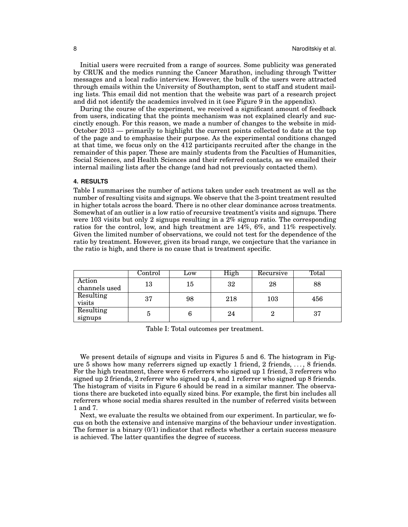Initial users were recruited from a range of sources. Some publicity was generated by CRUK and the medics running the Cancer Marathon, including through Twitter messages and a local radio interview. However, the bulk of the users were attracted through emails within the University of Southampton, sent to staff and student mailing lists. This email did not mention that the website was part of a research project and did not identify the academics involved in it (see Figure 9 in the appendix).

During the course of the experiment, we received a significant amount of feedback from users, indicating that the points mechanism was not explained clearly and succinctly enough. For this reason, we made a number of changes to the website in mid-October 2013 — primarily to highlight the current points collected to date at the top of the page and to emphasise their purpose. As the experimental conditions changed at that time, we focus only on the 412 participants recruited after the change in the remainder of this paper. These are mainly students from the Faculties of Humanities, Social Sciences, and Health Sciences and their referred contacts, as we emailed their internal mailing lists after the change (and had not previously contacted them).

## **4. RESULTS**

Table I summarises the number of actions taken under each treatment as well as the number of resulting visits and signups. We observe that the 3-point treatment resulted in higher totals across the board. There is no other clear dominance across treatments. Somewhat of an outlier is a low ratio of recursive treatment's visits and signups. There were 103 visits but only 2 signups resulting in a 2% signup ratio. The corresponding ratios for the control, low, and high treatment are 14%, 6%, and 11% respectively. Given the limited number of observations, we could not test for the dependence of the ratio by treatment. However, given its broad range, we conjecture that the variance in the ratio is high, and there is no cause that is treatment specific.

|                         | Jontrol | Low | High | Recursive | Total |
|-------------------------|---------|-----|------|-----------|-------|
| Action<br>channels used | 13      | 15  | 32   | 28        | 88    |
| Resulting<br>visits     | 37      | 98  | 218  | 103       | 456   |
| Resulting<br>signups    | Ð       |     | 24   |           | 37    |

Table I: Total outcomes per treatment.

We present details of signups and visits in Figures 5 and 6. The histogram in Figure 5 shows how many referrers signed up exactly 1 friend, 2 friends, . . . , 8 friends. For the high treatment, there were 6 referrers who signed up 1 friend, 3 referrers who signed up 2 friends, 2 referrer who signed up 4, and 1 referrer who signed up 8 friends. The histogram of visits in Figure 6 should be read in a similar manner. The observations there are bucketed into equally sized bins. For example, the first bin includes all referrers whose social media shares resulted in the number of referred visits between 1 and 7.

Next, we evaluate the results we obtained from our experiment. In particular, we focus on both the extensive and intensive margins of the behaviour under investigation. The former is a binary  $(0/1)$  indicator that reflects whether a certain success measure is achieved. The latter quantifies the degree of success.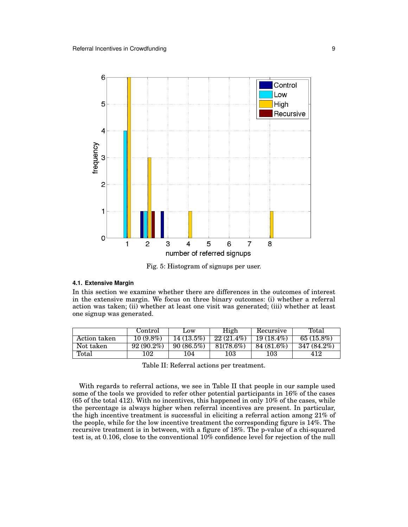

Fig. 5: Histogram of signups per user.

### **4.1. Extensive Margin**

In this section we examine whether there are differences in the outcomes of interest in the extensive margin. We focus on three binary outcomes: (i) whether a referral action was taken; (ii) whether at least one visit was generated; (iii) whether at least one signup was generated.

|              | Control      | <b>LOW</b>   | High         | Recursive    | Total         |
|--------------|--------------|--------------|--------------|--------------|---------------|
| Action taken | $10(9.8\%)$  | $14(13.5\%)$ | $22(21.4\%)$ | $19(18.4\%)$ | 65 $(15.8\%)$ |
| Not taken    | $92(90.2\%)$ | 90(86.5%)    | 81(78.6%)    | 84 (81.6%)   | 347 (84.2%)   |
| Total        | 102          | 104          | 103          | 103          | 412           |

Table II: Referral actions per treatment.

With regards to referral actions, we see in Table II that people in our sample used some of the tools we provided to refer other potential participants in 16% of the cases (65 of the total 412). With no incentives, this happened in only 10% of the cases, while the percentage is always higher when referral incentives are present. In particular, the high incentive treatment is successful in eliciting a referral action among 21% of the people, while for the low incentive treatment the corresponding figure is 14%. The recursive treatment is in between, with a figure of 18%. The p-value of a chi-squared test is, at 0.106, close to the conventional 10% confidence level for rejection of the null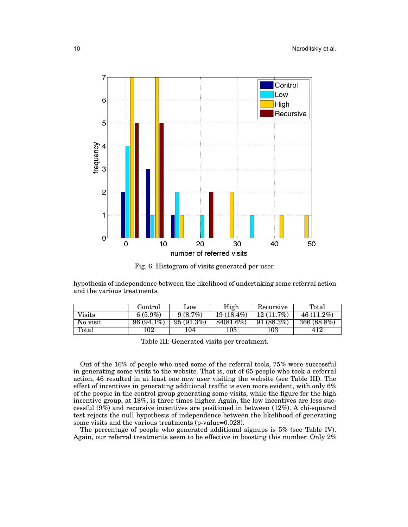

Fig. 6: Histogram of visits generated per user.

hypothesis of independence between the likelihood of undertaking some referral action and the various treatments.

|          | Control      | Low        | High         | Recursive    | Total        |
|----------|--------------|------------|--------------|--------------|--------------|
| Visits   | 6 $(5.9\%)$  | $9(8.7\%)$ | $19(18.4\%)$ | $12(11.7\%)$ | $46(11.2\%)$ |
| No visit | $96(94.1\%)$ | 95(91.3%)  | 84(81.6%)    | 91(88.3%)    | 366 (88.8%)  |
| Total    | 102          | 104        | 103          | 103          | 412          |

Table III: Generated visits per treatment.

Out of the 16% of people who used some of the referral tools, 75% were successful in generating some visits to the website. That is, out of 65 people who took a referral action, 46 resulted in at least one new user visiting the website (see Table III). The effect of incentives in generating additional traffic is even more evident, with only 6% of the people in the control group generating some visits, while the figure for the high incentive group, at 18%, is three times higher. Again, the low incentives are less successful (9%) and recursive incentives are positioned in between (12%). A chi-squared test rejects the null hypothesis of independence between the likelihood of generating some visits and the various treatments (p-value=0.028).

The percentage of people who generated additional signups is 5% (see Table IV). Again, our referral treatments seem to be effective in boosting this number. Only 2%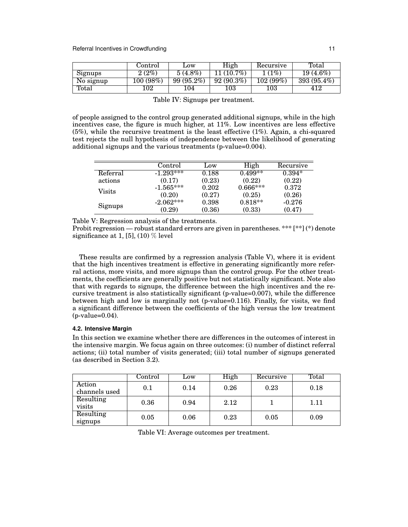|           | Control  | Low        | High         | Recursive | Total       |
|-----------|----------|------------|--------------|-----------|-------------|
| Signups   | 2(2%)    | $5(4.8\%)$ | $11(10.7\%)$ | 1(1%)     | $19(4.6\%)$ |
| No signup | 100(98%) | 99 (95.2%) | 92(90.3%)    | 102(99%)  | 393 (95.4%) |
| Total     | 102      | 104        | $103\,$      | $103\,$   | 412         |

| ັ | 100(00/0) |                                  | $\sim$ $\sim$ |
|---|-----------|----------------------------------|---------------|
|   | 102       | 103                              |               |
|   |           | Table IV: Signups per treatment. |               |

of people assigned to the control group generated additional signups, while in the high incentives case, the figure is much higher, at 11%. Low incentives are less effective (5%), while the recursive treatment is the least effective (1%). Again, a chi-squared test rejects the null hypothesis of independence between the likelihood of generating additional signups and the various treatments (p-value=0.004).

|          | Control     | Low    | High          | Recursive |
|----------|-------------|--------|---------------|-----------|
| Referral | $-1.293***$ | 0.188  | $0.499**$     | $0.394*$  |
| actions  | (0.17)      | (0.23) | (0.22)        | (0.22)    |
| Visits   | $-1.565***$ | 0.202  | $0.666^{***}$ | 0.372     |
|          | (0.20)      | (0.27) | (0.25)        | (0.26)    |
|          | $-2.062***$ | 0.398  | $0.818**$     | $-0.276$  |
| Signups  | (0.29)      | (0.36) | (0.33)        | (0.47)    |

Table V: Regression analysis of the treatments.

Probit regression — robust standard errors are given in parentheses. \*\*\* [\*\*] (\*) denote significance at 1, [5], (10)  $\%$  level

These results are confirmed by a regression analysis (Table V), where it is evident that the high incentives treatment is effective in generating significantly more referral actions, more visits, and more signups than the control group. For the other treatments, the coefficients are generally positive but not statistically significant. Note also that with regards to signups, the difference between the high incentives and the recursive treatment is also statistically significant (p-value=0.007), while the difference between high and low is marginally not (p-value=0.116). Finally, for visits, we find a significant difference between the coefficients of the high versus the low treatment (p-value=0.04).

## **4.2. Intensive Margin**

In this section we examine whether there are differences in the outcomes of interest in the intensive margin. We focus again on three outcomes: (i) number of distinct referral actions; (ii) total number of visits generated; (iii) total number of signups generated (as described in Section 3.2).

|               | Control | Low  | High | Recursive | Total |
|---------------|---------|------|------|-----------|-------|
| Action        | 0.1     | 0.14 | 0.26 | 0.23      | 0.18  |
| channels used |         |      |      |           |       |
| Resulting     | 0.36    | 0.94 | 2.12 |           | 1.11  |
| visits        |         |      |      |           |       |
| Resulting     | 0.05    | 0.06 | 0.23 | 0.05      | 0.09  |
| signups       |         |      |      |           |       |

Table VI: Average outcomes per treatment.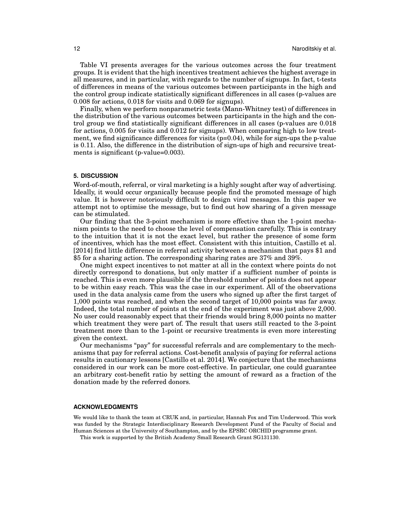Table VI presents averages for the various outcomes across the four treatment groups. It is evident that the high incentives treatment achieves the highest average in all measures, and in particular, with regards to the number of signups. In fact, t-tests of differences in means of the various outcomes between participants in the high and the control group indicate statistically significant differences in all cases (p-values are 0.008 for actions, 0.018 for visits and 0.069 for signups).

Finally, when we perform nonparametric tests (Mann-Whitney test) of differences in the distribution of the various outcomes between participants in the high and the control group we find statistically significant differences in all cases (p-values are 0.018 for actions, 0.005 for visits and 0.012 for signups). When comparing high to low treatment, we find significance differences for visits  $(p=0.04)$ , while for sign-ups the p-value is 0.11. Also, the difference in the distribution of sign-ups of high and recursive treatments is significant (p-value=0.003).

## **5. DISCUSSION**

Word-of-mouth, referral, or viral marketing is a highly sought after way of advertising. Ideally, it would occur organically because people find the promoted message of high value. It is however notoriously difficult to design viral messages. In this paper we attempt not to optimise the message, but to find out how sharing of a given message can be stimulated.

Our finding that the 3-point mechanism is more effective than the 1-point mechanism points to the need to choose the level of compensation carefully. This is contrary to the intuition that it is not the exact level, but rather the presence of some form of incentives, which has the most effect. Consistent with this intuition, Castillo et al. [2014] find little difference in referral activity between a mechanism that pays \$1 and \$5 for a sharing action. The corresponding sharing rates are 37% and 39%.

One might expect incentives to not matter at all in the context where points do not directly correspond to donations, but only matter if a sufficient number of points is reached. This is even more plausible if the threshold number of points does not appear to be within easy reach. This was the case in our experiment. All of the observations used in the data analysis came from the users who signed up after the first target of 1,000 points was reached, and when the second target of 10,000 points was far away. Indeed, the total number of points at the end of the experiment was just above 2,000. No user could reasonably expect that their friends would bring 8,000 points no matter which treatment they were part of. The result that users still reacted to the 3-point treatment more than to the 1-point or recursive treatments is even more interesting given the context.

Our mechanisms "pay" for successful referrals and are complementary to the mechanisms that pay for referral actions. Cost-benefit analysis of paying for referral actions results in cautionary lessons [Castillo et al. 2014]. We conjecture that the mechanisms considered in our work can be more cost-effective. In particular, one could guarantee an arbitrary cost-benefit ratio by setting the amount of reward as a fraction of the donation made by the referred donors.

### **ACKNOWLEDGMENTS**

We would like to thank the team at CRUK and, in particular, Hannah Fox and Tim Underwood. This work was funded by the Strategic Interdisciplinary Research Development Fund of the Faculty of Social and Human Sciences at the University of Southampton, and by the EPSRC ORCHID programme grant.

This work is supported by the British Academy Small Research Grant SG131130.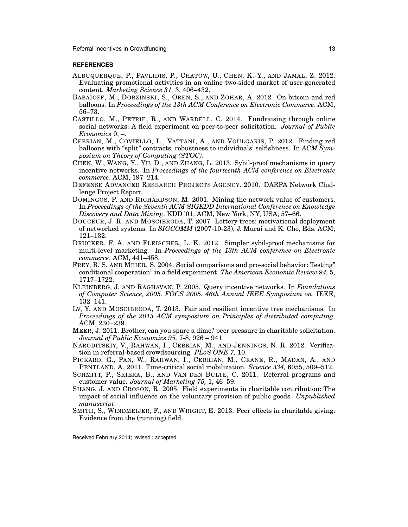Referral Incentives in Crowdfunding 13

## **REFERENCES**

- ALBUQUERQUE, P., PAVLIDIS, P., CHATOW, U., CHEN, K.-Y., AND JAMAL, Z. 2012. Evaluating promotional activities in an online two-sided market of user-generated content. *Marketing Science 31,* 3, 406–432.
- BABAIOFF, M., DOBZINSKI, S., OREN, S., AND ZOHAR, A. 2012. On bitcoin and red balloons. In *Proceedings of the 13th ACM Conference on Electronic Commerce*. ACM, 56–73.
- CASTILLO, M., PETRIE, R., AND WARDELL, C. 2014. Fundraising through online social networks: A field experiment on peer-to-peer solicitation. *Journal of Public Economics* 0, –.
- CEBRIAN, M., COVIELLO, L., VATTANI, A., AND VOULGARIS, P. 2012. Finding red balloons with "split" contracts: robustness to individuals' selfishness. In *ACM Symposium on Theory of Computing (STOC)*.
- CHEN, W., WANG, Y., YU, D., AND ZHANG, L. 2013. Sybil-proof mechanisms in query incentive networks. In *Proceedings of the fourteenth ACM conference on Electronic commerce*. ACM, 197–214.
- DEFENSE ADVANCED RESEARCH PROJECTS AGENCY. 2010. DARPA Network Challenge Project Report.
- DOMINGOS, P. AND RICHARDSON, M. 2001. Mining the network value of customers. In *Proceedings of the Seventh ACM SIGKDD International Conference on Knowledge Discovery and Data Mining*. KDD '01. ACM, New York, NY, USA, 57–66.
- DOUCEUR, J. R. AND MOSCIBRODA, T. 2007. Lottery trees: motivational deployment of networked systems. In *SIGCOMM* (2007-10-23), J. Murai and K. Cho, Eds. ACM, 121–132.
- DRUCKER, F. A. AND FLEISCHER, L. K. 2012. Simpler sybil-proof mechanisms for multi-level marketing. In *Proceedings of the 13th ACM conference on Electronic commerce*. ACM, 441–458.
- FREY, B. S. AND MEIER, S. 2004. Social comparisons and pro-social behavior: Testing" conditional cooperation" in a field experiment. *The American Economic Review 94,* 5, 1717–1722.
- KLEINBERG, J. AND RAGHAVAN, P. 2005. Query incentive networks. In *Foundations of Computer Science, 2005. FOCS 2005. 46th Annual IEEE Symposium on*. IEEE, 132–141.
- LV, Y. AND MOSCIBRODA, T. 2013. Fair and resilient incentive tree mechanisms. In *Proceedings of the 2013 ACM symposium on Principles of distributed computing*. ACM, 230–239.
- MEER, J. 2011. Brother, can you spare a dime? peer pressure in charitable solicitation. *Journal of Public Economics 95,* 7-8, 926 – 941.
- NARODITSKIY, V., RAHWAN, I., CEBRIAN, M., AND JENNINGS, N. R. 2012. Verification in referral-based crowdsourcing. *PLoS ONE 7,* 10.
- PICKARD, G., PAN, W., RAHWAN, I., CEBRIAN, M., CRANE, R., MADAN, A., AND PENTLAND, A. 2011. Time-critical social mobilization. *Science 334,* 6055, 509–512.
- SCHMITT, P., SKIERA, B., AND VAN DEN BULTE, C. 2011. Referral programs and customer value. *Journal of Marketing 75,* 1, 46–59.
- SHANG, J. AND CROSON, R. 2005. Field experiments in charitable contribution: The impact of social influence on the voluntary provision of public goods. *Unpublished manuscript*.
- SMITH, S., WINDMEIJER, F., AND WRIGHT, E. 2013. Peer effects in charitable giving: Evidence from the (running) field.

Received February 2014; revised ; accepted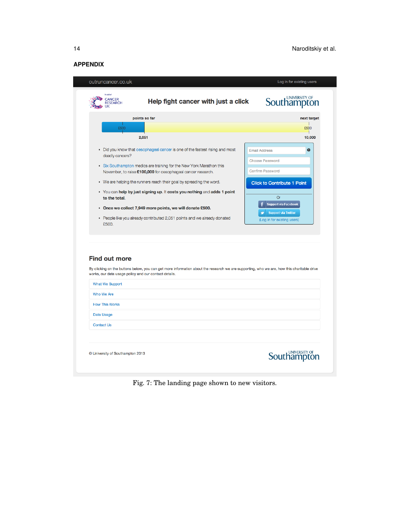## **APPENDIX**

| In aid of<br><b>CANCER</b><br><b>RESEARCH</b>                                                                                                  | Help fight cancer with just a click                                                                                                                                                                                  | <b>UNIVERSITY OF</b><br>Southampton                                                                   |
|------------------------------------------------------------------------------------------------------------------------------------------------|----------------------------------------------------------------------------------------------------------------------------------------------------------------------------------------------------------------------|-------------------------------------------------------------------------------------------------------|
| £500                                                                                                                                           | points so far                                                                                                                                                                                                        | next target<br>£500                                                                                   |
|                                                                                                                                                | 2,051                                                                                                                                                                                                                | 10,000                                                                                                |
| deadly cancers?                                                                                                                                | • Did you know that oesophageal cancer is one of the fastest rising and most<br>• Six Southampton medics are training for the New York Marathon this<br>November, to raise £100,000 for oesophageal cancer research. | Ø<br><b>Email Address</b><br><b>Choose Password</b><br><b>Confirm Password</b>                        |
|                                                                                                                                                | • We are helping the runners reach their goal by spreading the word.                                                                                                                                                 | <b>Click to Contribute 1 Point</b>                                                                    |
| to the total.<br>£500.                                                                                                                         | • You can help by just signing up. It costs you nothing and adds 1 point<br>• Once we collect 7,949 more points, we will donate £500.<br>• People like you already contributed 2,051 points and we already donated   | <b>Or</b><br><b>Support via Facebook</b><br><b>Support via Twitter</b><br>(Log in for existing users) |
| <b>Find out more</b><br>works, our data usage policy and our contact details.<br><b>What We Support</b><br>Who We Are<br><b>How This Works</b> | By clicking on the buttons below, you can get more information about the research we are supporting, who we are, how this charitable drive                                                                           |                                                                                                       |
| Data Usage                                                                                                                                     |                                                                                                                                                                                                                      |                                                                                                       |
| <b>Contact Us</b>                                                                                                                              |                                                                                                                                                                                                                      |                                                                                                       |
|                                                                                                                                                | © University of Southampton 2013                                                                                                                                                                                     | UNIVERSITY OF                                                                                         |

Fig. 7: The landing page shown to new visitors.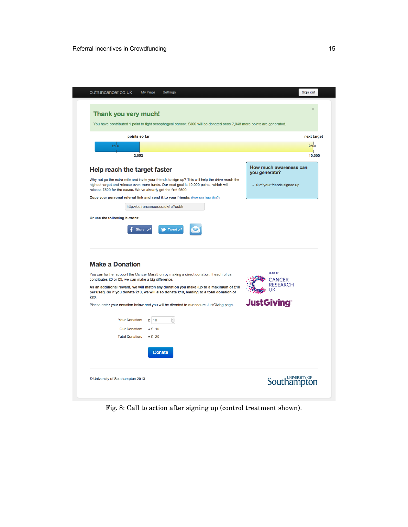

Fig. 8: Call to action after signing up (control treatment shown).